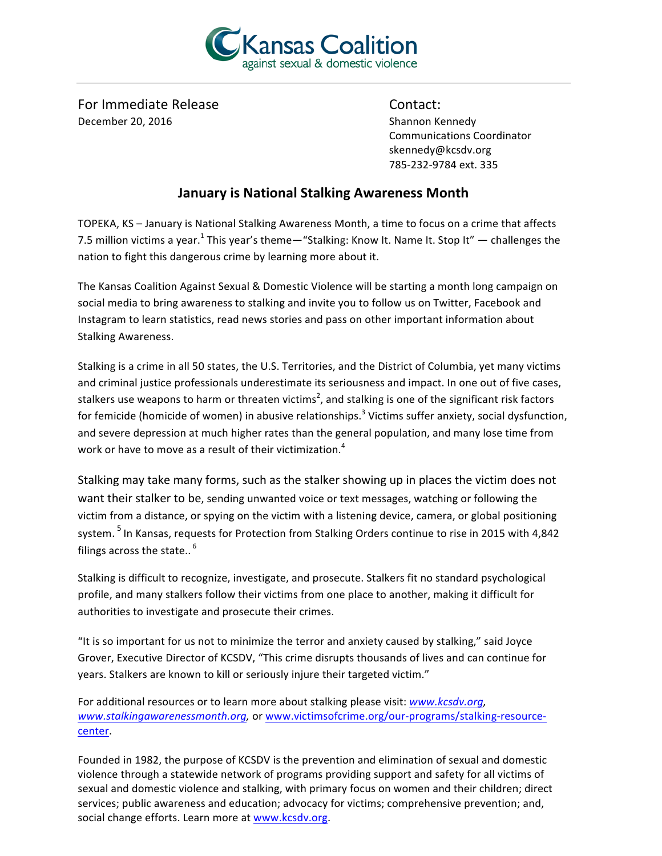

For Immediate Release Contact: December 20, 2016 **Shannon** Kennedy

Communications Coordinator skennedy@kcsdv.org 785-232-9784 ext. 335

## **January is National Stalking Awareness Month**

TOPEKA, KS - January is National Stalking Awareness Month, a time to focus on a crime that affects 7.5 million victims a year.<sup>1</sup> This year's theme—"Stalking: Know It. Name It. Stop It" — challenges the nation to fight this dangerous crime by learning more about it.

The Kansas Coalition Against Sexual & Domestic Violence will be starting a month long campaign on social media to bring awareness to stalking and invite you to follow us on Twitter, Facebook and Instagram to learn statistics, read news stories and pass on other important information about Stalking Awareness.

Stalking is a crime in all 50 states, the U.S. Territories, and the District of Columbia, yet many victims and criminal justice professionals underestimate its seriousness and impact. In one out of five cases, stalkers use weapons to harm or threaten victims<sup>2</sup>, and stalking is one of the significant risk factors for femicide (homicide of women) in abusive relationships.<sup>3</sup> Victims suffer anxiety, social dysfunction, and severe depression at much higher rates than the general population, and many lose time from work or have to move as a result of their victimization.<sup>4</sup>

Stalking may take many forms, such as the stalker showing up in places the victim does not want their stalker to be, sending unwanted voice or text messages, watching or following the victim from a distance, or spying on the victim with a listening device, camera, or global positioning system.  $^5$  In Kansas, requests for Protection from Stalking Orders continue to rise in 2015 with 4,842 filings across the state..  $^6$ 

Stalking is difficult to recognize, investigate, and prosecute. Stalkers fit no standard psychological profile, and many stalkers follow their victims from one place to another, making it difficult for authorities to investigate and prosecute their crimes.

"It is so important for us not to minimize the terror and anxiety caused by stalking," said Joyce Grover, Executive Director of KCSDV, "This crime disrupts thousands of lives and can continue for years. Stalkers are known to kill or seriously injure their targeted victim."

For additional resources or to learn more about stalking please visit: *www.kcsdv.org*, *www.stalkingawarenessmonth.org,* or www.victimsofcrime.org/our-programs/stalking-resourcecenter.

Founded in 1982, the purpose of KCSDV is the prevention and elimination of sexual and domestic violence through a statewide network of programs providing support and safety for all victims of sexual and domestic violence and stalking, with primary focus on women and their children; direct services; public awareness and education; advocacy for victims; comprehensive prevention; and, social change efforts. Learn more at www.kcsdv.org.